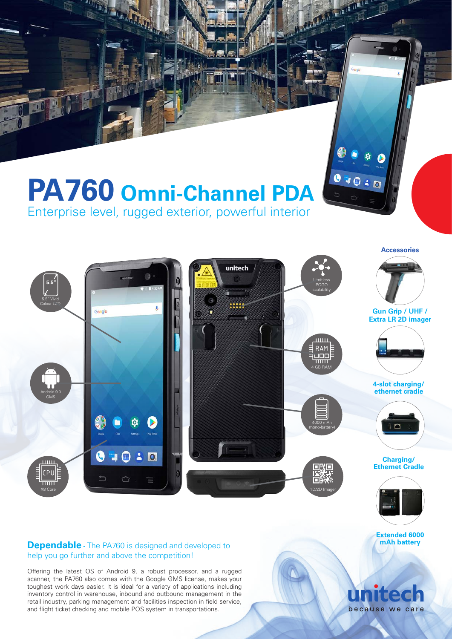# **PA760 Omni-Channel PDA** Enterprise level, rugged exterior, powerful interior

unitech **5.5"** POGO scalability 5.5" Vivid Colour LCD ..... **Gun Grip / UHF /** Google **Extra LR 2D imager** 4 GB RAM **4-slot charging/ ethernet cradle** Android 9.0 GMS 4000 mAh i ra mono-battery)  $\bullet$ **Exp** (31)  $\overline{0}$ **Charging/ Ethernet Cradle** X8 Core 1D/2D Imager

# **Dependable** - The PA760 is designed and developed to help you go further and above the competition!

Offering the latest OS of Android 9, a robust processor, and a rugged scanner, the PA760 also comes with the Google GMS license, makes your toughest work days easier. It is ideal for a variety of applications including inventory control in warehouse, inbound and outbound management in the retail industry, parking management and facilities inspection in field service, and flight ticket checking and mobile POS system in transportations.

# **Extended 6000 mAh battery**

**Accessories**